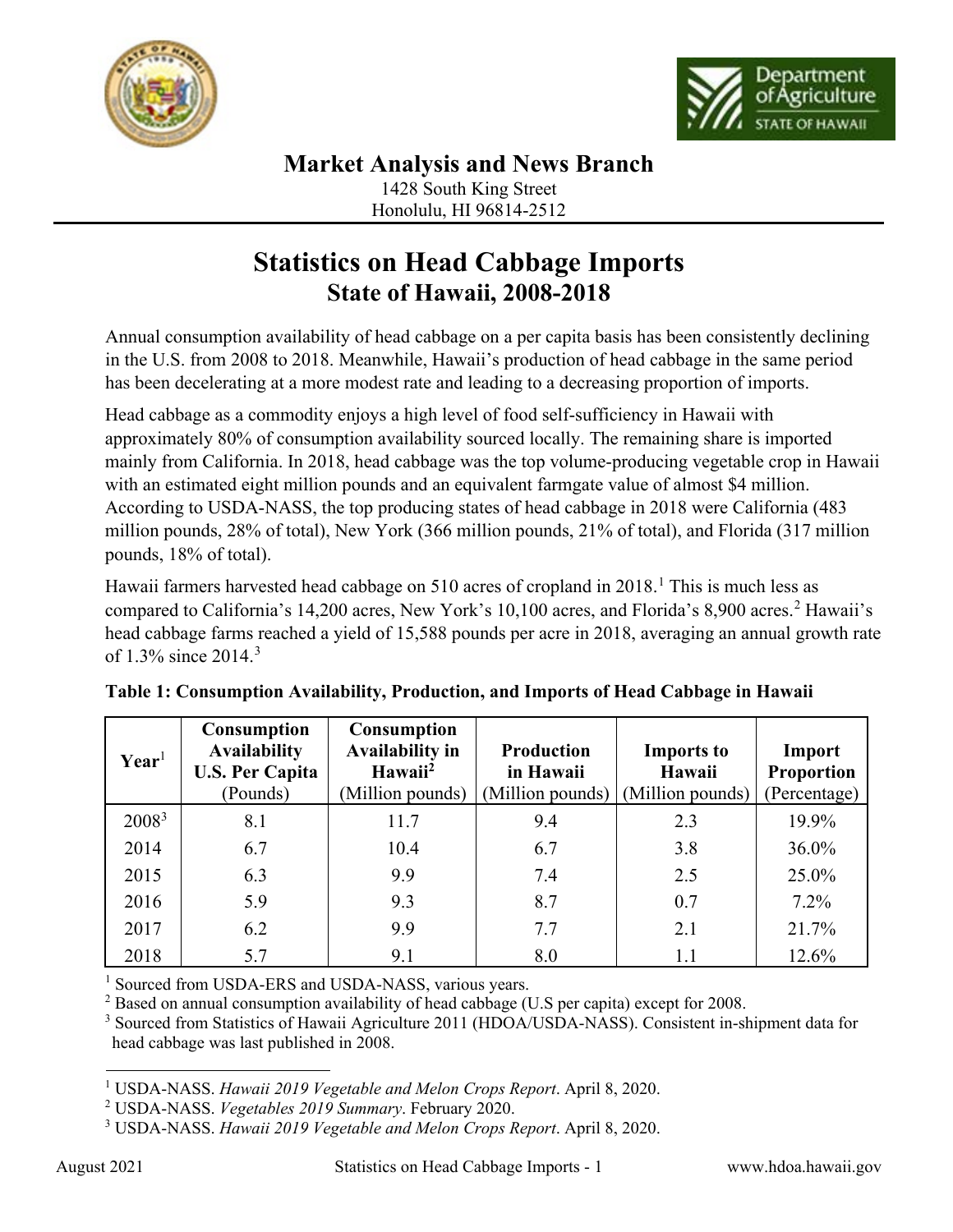



## **Market Analysis and News Branch**

1428 South King Street Honolulu, HI 96814-2512

## **Statistics on Head Cabbage Imports State of Hawaii, 2008-2018**

Annual consumption availability of head cabbage on a per capita basis has been consistently declining in the U.S. from 2008 to 2018. Meanwhile, Hawaii's production of head cabbage in the same period has been decelerating at a more modest rate and leading to a decreasing proportion of imports.

Head cabbage as a commodity enjoys a high level of food self-sufficiency in Hawaii with approximately 80% of consumption availability sourced locally. The remaining share is imported mainly from California. In 2018, head cabbage was the top volume-producing vegetable crop in Hawaii with an estimated eight million pounds and an equivalent farmgate value of almost \$4 million. According to USDA-NASS, the top producing states of head cabbage in 2018 were California (483 million pounds, 28% of total), New York (366 million pounds, 21% of total), and Florida (317 million pounds, 18% of total).

Hawaii farmers harvested head cabbage on 5[1](#page-0-0)0 acres of cropland in 2018.<sup>1</sup> This is much less as compared to California's 14,200 acres, New York's 10,100 acres, and Florida's 8,900 acres. [2](#page-0-1) Hawaii's head cabbage farms reached a yield of 15,588 pounds per acre in 2018, averaging an annual growth rate of 1.3% since 2014.[3](#page-0-2)

| $\mathbf{Year}^1$ | <b>Consumption</b><br><b>Availability</b><br><b>U.S. Per Capita</b><br>(Pounds) | <b>Consumption</b><br><b>Availability in</b><br>Hawaii <sup>2</sup><br>(Million pounds) | <b>Production</b><br>in Hawaii<br>(Million pounds) | <b>Imports to</b><br>Hawaii<br>(Million pounds) | Import<br>Proportion<br>(Percentage) |
|-------------------|---------------------------------------------------------------------------------|-----------------------------------------------------------------------------------------|----------------------------------------------------|-------------------------------------------------|--------------------------------------|
| $2008^3$          | 8.1                                                                             | 11.7                                                                                    | 9.4                                                | 2.3                                             | 19.9%                                |
| 2014              | 6.7                                                                             | 10.4                                                                                    | 6.7                                                | 3.8                                             | $36.0\%$                             |
| 2015              | 6.3                                                                             | 9.9                                                                                     | 7.4                                                | 2.5                                             | 25.0%                                |
| 2016              | 5.9                                                                             | 9.3                                                                                     | 8.7                                                | 0.7                                             | $7.2\%$                              |
| 2017              | 6.2                                                                             | 9.9                                                                                     | 7.7                                                | 2.1                                             | 21.7%                                |
| 2018              | 5.7                                                                             | 9.1                                                                                     | 8.0                                                | 1.1                                             | 12.6%                                |

| Table 1: Consumption Availability, Production, and Imports of Head Cabbage in Hawaii |  |  |  |
|--------------------------------------------------------------------------------------|--|--|--|
|                                                                                      |  |  |  |

<sup>1</sup> Sourced from USDA-ERS and USDA-NASS, various years.

 $2$  Based on annual consumption availability of head cabbage (U.S per capita) except for 2008.

<sup>3</sup> Sourced from Statistics of Hawaii Agriculture 2011 (HDOA/USDA-NASS). Consistent in-shipment data for head cabbage was last published in 2008.

<span id="page-0-0"></span><sup>1</sup> USDA-NASS. *Hawaii 2019 Vegetable and Melon Crops Report*. April 8, 2020.

<span id="page-0-1"></span><sup>2</sup> USDA-NASS. *Vegetables 2019 Summary*. February 2020.

<span id="page-0-2"></span><sup>3</sup> USDA-NASS. *Hawaii 2019 Vegetable and Melon Crops Report*. April 8, 2020.